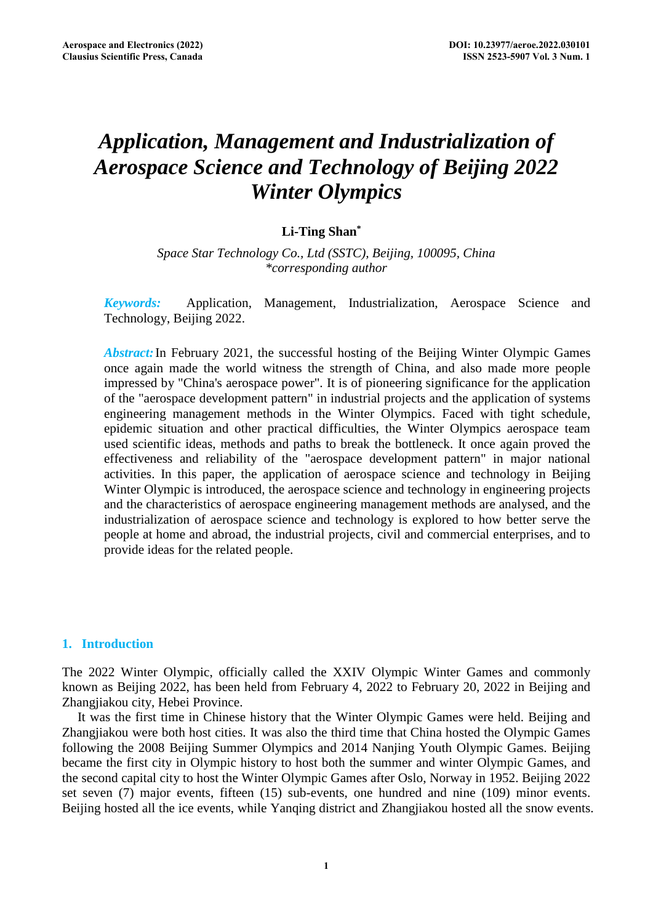# *Application, Management and Industrialization of Aerospace Science and Technology of Beijing 2022 Winter Olympics*

# **Li-Ting Shan\***

*Space Star Technology Co., Ltd (SSTC), Beijing, 100095, China \*corresponding author*

*Keywords:* Application, Management, Industrialization, Aerospace Science and Technology, Beijing 2022.

*Abstract:* In February 2021, the successful hosting of the Beijing Winter Olympic Games once again made the world witness the strength of China, and also made more people impressed by "China's aerospace power". It is of pioneering significance for the application of the "aerospace development pattern" in industrial projects and the application of systems engineering management methods in the Winter Olympics. Faced with tight schedule, epidemic situation and other practical difficulties, the Winter Olympics aerospace team used scientific ideas, methods and paths to break the bottleneck. It once again proved the effectiveness and reliability of the "aerospace development pattern" in major national activities. In this paper, the application of aerospace science and technology in Beijing Winter Olympic is introduced, the aerospace science and technology in engineering projects and the characteristics of aerospace engineering management methods are analysed, and the industrialization of aerospace science and technology is explored to how better serve the people at home and abroad, the industrial projects, civil and commercial enterprises, and to provide ideas for the related people.

## **1. Introduction**

The 2022 Winter Olympic, officially called the XXIV Olympic Winter Games and commonly known as Beijing 2022, has been held from February 4, 2022 to February 20, 2022 in Beijing and Zhangjiakou city, Hebei Province.

It was the first time in Chinese history that the Winter Olympic Games were held. Beijing and Zhangjiakou were both host cities. It was also the third time that China hosted the Olympic Games following the 2008 Beijing Summer Olympics and 2014 Nanjing Youth Olympic Games. Beijing became the first city in Olympic history to host both the summer and winter Olympic Games, and the second capital city to host the Winter Olympic Games after Oslo, Norway in 1952. Beijing 2022 set seven (7) major events, fifteen (15) sub-events, one hundred and nine (109) minor events. Beijing hosted all the ice events, while Yanqing district and Zhangjiakou hosted all the snow events.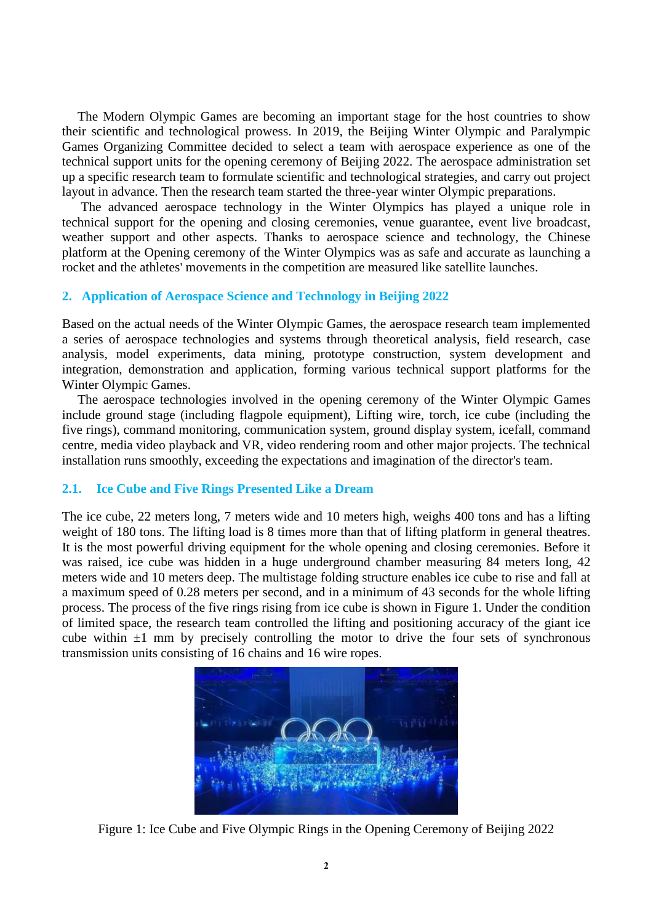The Modern Olympic Games are becoming an important stage for the host countries to show their scientific and technological prowess. In 2019, the Beijing Winter Olympic and Paralympic Games Organizing Committee decided to select a team with aerospace experience as one of the technical support units for the opening ceremony of Beijing 2022. The aerospace administration set up a specific research team to formulate scientific and technological strategies, and carry out project layout in advance. Then the research team started the three-year winter Olympic preparations.

The advanced aerospace technology in the Winter Olympics has played a unique role in technical support for the opening and closing ceremonies, venue guarantee, event live broadcast, weather support and other aspects. Thanks to aerospace science and technology, the Chinese platform at the Opening ceremony of the Winter Olympics was as safe and accurate as launching a rocket and the athletes' movements in the competition are measured like satellite launches.

## **2. Application of Aerospace Science and Technology in Beijing 2022**

Based on the actual needs of the Winter Olympic Games, the aerospace research team implemented a series of aerospace technologies and systems through theoretical analysis, field research, case analysis, model experiments, data mining, prototype construction, system development and integration, demonstration and application, forming various technical support platforms for the Winter Olympic Games.

The aerospace technologies involved in the opening ceremony of the Winter Olympic Games include ground stage (including flagpole equipment), Lifting wire, torch, ice cube (including the five rings), command monitoring, communication system, ground display system, icefall, command centre, media video playback and VR, video rendering room and other major projects. The technical installation runs smoothly, exceeding the expectations and imagination of the director's team.

## **2.1. Ice Cube and Five Rings Presented Like a Dream**

The ice cube, 22 meters long, 7 meters wide and 10 meters high, weighs 400 tons and has a lifting weight of 180 tons. The lifting load is 8 times more than that of lifting platform in general theatres. It is the most powerful driving equipment for the whole opening and closing ceremonies. Before it was raised, ice cube was hidden in a huge underground chamber measuring 84 meters long, 42 meters wide and 10 meters deep. The multistage folding structure enables ice cube to rise and fall at a maximum speed of 0.28 meters per second, and in a minimum of 43 seconds for the whole lifting process. The process of the five rings rising from ice cube is shown in Figure 1. Under the condition of limited space, the research team controlled the lifting and positioning accuracy of the giant ice cube within  $\pm 1$  mm by precisely controlling the motor to drive the four sets of synchronous transmission units consisting of 16 chains and 16 wire ropes.



Figure 1: Ice Cube and Five Olympic Rings in the Opening Ceremony of Beijing 2022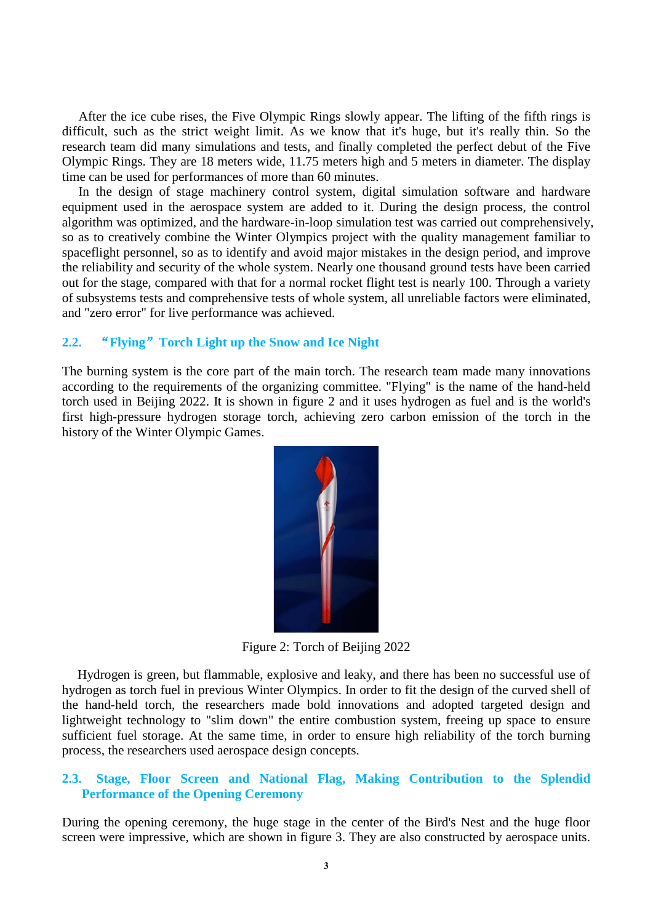After the ice cube rises, the Five Olympic Rings slowly appear. The lifting of the fifth rings is difficult, such as the strict weight limit. As we know that it's huge, but it's really thin. So the research team did many simulations and tests, and finally completed the perfect debut of the Five Olympic Rings. They are 18 meters wide, 11.75 meters high and 5 meters in diameter. The display time can be used for performances of more than 60 minutes.

In the design of stage machinery control system, digital simulation software and hardware equipment used in the aerospace system are added to it. During the design process, the control algorithm was optimized, and the hardware-in-loop simulation test was carried out comprehensively, so as to creatively combine the Winter Olympics project with the quality management familiar to spaceflight personnel, so as to identify and avoid major mistakes in the design period, and improve the reliability and security of the whole system. Nearly one thousand ground tests have been carried out for the stage, compared with that for a normal rocket flight test is nearly 100. Through a variety of subsystems tests and comprehensive tests of whole system, all unreliable factors were eliminated, and "zero error" for live performance was achieved.

# **2.2.** "**Flying**"**Torch Light up the Snow and Ice Night**

The burning system is the core part of the main torch. The research team made many innovations according to the requirements of the organizing committee. "Flying" is the name of the hand-held torch used in Beijing 2022. It is shown in figure 2 and it uses hydrogen as fuel and is the world's first high-pressure hydrogen storage torch, achieving zero carbon emission of the torch in the history of the Winter Olympic Games.



Figure 2: Torch of Beijing 2022

Hydrogen is green, but flammable, explosive and leaky, and there has been no successful use of hydrogen as torch fuel in previous Winter Olympics. In order to fit the design of the curved shell of the hand-held torch, the researchers made bold innovations and adopted targeted design and lightweight technology to "slim down" the entire combustion system, freeing up space to ensure sufficient fuel storage. At the same time, in order to ensure high reliability of the torch burning process, the researchers used aerospace design concepts.

## **2.3. Stage, Floor Screen and National Flag, Making Contribution to the Splendid Performance of the Opening Ceremony**

During the opening ceremony, the huge stage in the center of the Bird's Nest and the huge floor screen were impressive, which are shown in figure 3. They are also constructed by aerospace units.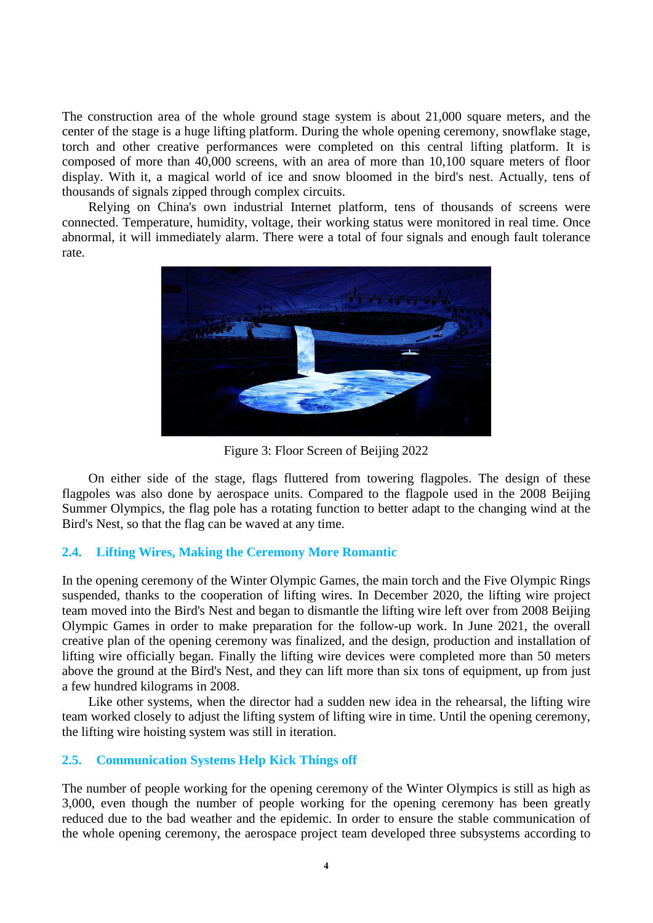The construction area of the whole ground stage system is about 21,000 square meters, and the center of the stage is a huge lifting platform. During the whole opening ceremony, snowflake stage, torch and other creative performances were completed on this central lifting platform. It is composed of more than 40,000 screens, with an area of more than 10,100 square meters of floor display. With it, a magical world of ice and snow bloomed in the bird's nest. Actually, tens of thousands of signals zipped through complex circuits.

Relying on China's own industrial Internet platform, tens of thousands of screens were connected. Temperature, humidity, voltage, their working status were monitored in real time. Once abnormal, it will immediately alarm. There were a total of four signals and enough fault tolerance rate.



Figure 3: Floor Screen of Beijing 2022

On either side of the stage, flags fluttered from towering flagpoles. The design of these flagpoles was also done by aerospace units. Compared to the flagpole used in the 2008 Beijing Summer Olympics, the flag pole has a rotating function to better adapt to the changing wind at the Bird's Nest, so that the flag can be waved at any time.

# **2.4. Lifting Wires, Making the Ceremony More Romantic**

In the opening ceremony of the Winter Olympic Games, the main torch and the Five Olympic Rings suspended, thanks to the cooperation of lifting wires. In December 2020, the lifting wire project team moved into the Bird's Nest and began to dismantle the lifting wire left over from 2008 Beijing Olympic Games in order to make preparation for the follow-up work. In June 2021, the overall creative plan of the opening ceremony was finalized, and the design, production and installation of lifting wire officially began. Finally the lifting wire devices were completed more than 50 meters above the ground at the Bird's Nest, and they can lift more than six tons of equipment, up from just a few hundred kilograms in 2008.

Like other systems, when the director had a sudden new idea in the rehearsal, the lifting wire team worked closely to adjust the lifting system of lifting wire in time. Until the opening ceremony, the lifting wire hoisting system was still in iteration.

## **2.5. Communication Systems Help Kick Things off**

The number of people working for the opening ceremony of the Winter Olympics is still as high as 3,000, even though the number of people working for the opening ceremony has been greatly reduced due to the bad weather and the epidemic. In order to ensure the stable communication of the whole opening ceremony, the aerospace project team developed three subsystems according to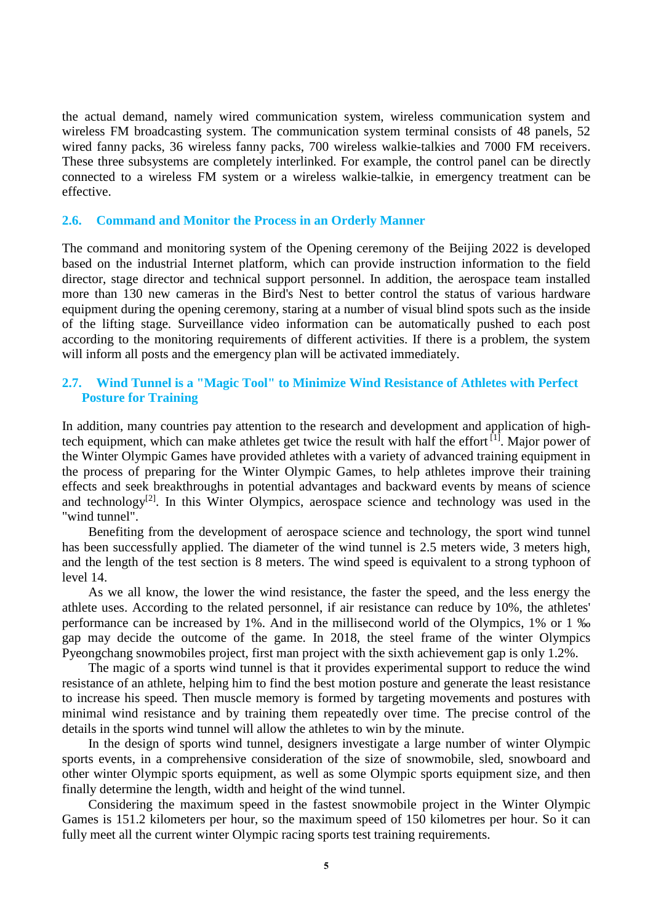the actual demand, namely wired communication system, wireless communication system and wireless FM broadcasting system. The communication system terminal consists of 48 panels, 52 wired fanny packs, 36 wireless fanny packs, 700 wireless walkie-talkies and 7000 FM receivers. These three subsystems are completely interlinked. For example, the control panel can be directly connected to a wireless FM system or a wireless walkie-talkie, in emergency treatment can be effective.

## **2.6. Command and Monitor the Process in an Orderly Manner**

The command and monitoring system of the Opening ceremony of the Beijing 2022 is developed based on the industrial Internet platform, which can provide instruction information to the field director, stage director and technical support personnel. In addition, the aerospace team installed more than 130 new cameras in the Bird's Nest to better control the status of various hardware equipment during the opening ceremony, staring at a number of visual blind spots such as the inside of the lifting stage. Surveillance video information can be automatically pushed to each post according to the monitoring requirements of different activities. If there is a problem, the system will inform all posts and the emergency plan will be activated immediately.

## **2.7. Wind Tunnel is a "Magic Tool" to Minimize Wind Resistance of Athletes with Perfect Posture for Training**

In addition, many countries pay attention to the research and development and application of hightech equipment, which can make athletes get twice the result with half the effort [1]. Major power of the Winter Olympic Games have provided athletes with a variety of advanced training equipment in the process of preparing for the Winter Olympic Games, to help athletes improve their training effects and seek breakthroughs in potential advantages and backward events by means of science and technology<sup>[2]</sup>. In this Winter Olympics, aerospace science and technology was used in the "wind tunnel".

Benefiting from the development of aerospace science and technology, the sport wind tunnel has been successfully applied. The diameter of the wind tunnel is 2.5 meters wide, 3 meters high, and the length of the test section is 8 meters. The wind speed is equivalent to a strong typhoon of level 14.

As we all know, the lower the wind resistance, the faster the speed, and the less energy the athlete uses. According to the related personnel, if air resistance can reduce by 10%, the athletes' performance can be increased by 1%. And in the millisecond world of the Olympics, 1% or 1 ‰ gap may decide the outcome of the game. In 2018, the steel frame of the winter Olympics Pyeongchang snowmobiles project, first man project with the sixth achievement gap is only 1.2%.

The magic of a sports wind tunnel is that it provides experimental support to reduce the wind resistance of an athlete, helping him to find the best motion posture and generate the least resistance to increase his speed. Then muscle memory is formed by targeting movements and postures with minimal wind resistance and by training them repeatedly over time. The precise control of the details in the sports wind tunnel will allow the athletes to win by the minute.

In the design of sports wind tunnel, designers investigate a large number of winter Olympic sports events, in a comprehensive consideration of the size of snowmobile, sled, snowboard and other winter Olympic sports equipment, as well as some Olympic sports equipment size, and then finally determine the length, width and height of the wind tunnel.

Considering the maximum speed in the fastest snowmobile project in the Winter Olympic Games is 151.2 kilometers per hour, so the maximum speed of 150 kilometres per hour. So it can fully meet all the current winter Olympic racing sports test training requirements.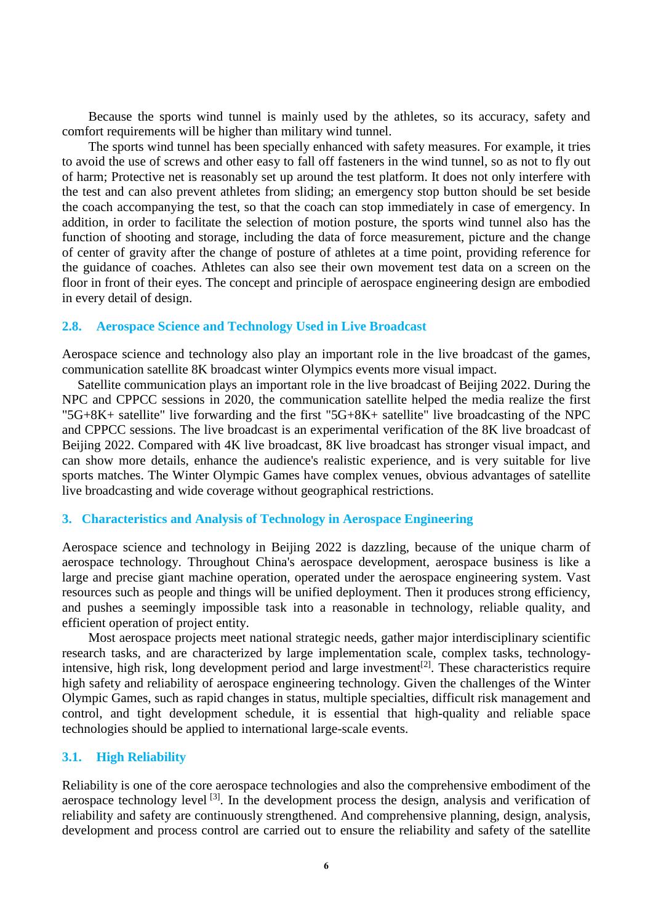Because the sports wind tunnel is mainly used by the athletes, so its accuracy, safety and comfort requirements will be higher than military wind tunnel.

The sports wind tunnel has been specially enhanced with safety measures. For example, it tries to avoid the use of screws and other easy to fall off fasteners in the wind tunnel, so as not to fly out of harm; Protective net is reasonably set up around the test platform. It does not only interfere with the test and can also prevent athletes from sliding; an emergency stop button should be set beside the coach accompanying the test, so that the coach can stop immediately in case of emergency. In addition, in order to facilitate the selection of motion posture, the sports wind tunnel also has the function of shooting and storage, including the data of force measurement, picture and the change of center of gravity after the change of posture of athletes at a time point, providing reference for the guidance of coaches. Athletes can also see their own movement test data on a screen on the floor in front of their eyes. The concept and principle of aerospace engineering design are embodied in every detail of design.

#### **2.8. Aerospace Science and Technology Used in Live Broadcast**

Aerospace science and technology also play an important role in the live broadcast of the games, communication satellite 8K broadcast winter Olympics events more visual impact.

Satellite communication plays an important role in the live broadcast of Beijing 2022. During the NPC and CPPCC sessions in 2020, the communication satellite helped the media realize the first "5G+8K+ satellite" live forwarding and the first "5G+8K+ satellite" live broadcasting of the NPC and CPPCC sessions. The live broadcast is an experimental verification of the 8K live broadcast of Beijing 2022. Compared with 4K live broadcast, 8K live broadcast has stronger visual impact, and can show more details, enhance the audience's realistic experience, and is very suitable for live sports matches. The Winter Olympic Games have complex venues, obvious advantages of satellite live broadcasting and wide coverage without geographical restrictions.

#### **3. Characteristics and Analysis of Technology in Aerospace Engineering**

Aerospace science and technology in Beijing 2022 is dazzling, because of the unique charm of aerospace technology. Throughout China's aerospace development, aerospace business is like a large and precise giant machine operation, operated under the aerospace engineering system. Vast resources such as people and things will be unified deployment. Then it produces strong efficiency, and pushes a seemingly impossible task into a reasonable in technology, reliable quality, and efficient operation of project entity.

Most aerospace projects meet national strategic needs, gather major interdisciplinary scientific research tasks, and are characterized by large implementation scale, complex tasks, technologyintensive, high risk, long development period and large investment<sup>[2]</sup>. These characteristics require high safety and reliability of aerospace engineering technology. Given the challenges of the Winter Olympic Games, such as rapid changes in status, multiple specialties, difficult risk management and control, and tight development schedule, it is essential that high-quality and reliable space technologies should be applied to international large-scale events.

#### **3.1. High Reliability**

Reliability is one of the core aerospace technologies and also the comprehensive embodiment of the aerospace technology level <sup>[3]</sup>. In the development process the design, analysis and verification of reliability and safety are continuously strengthened. And comprehensive planning, design, analysis, development and process control are carried out to ensure the reliability and safety of the satellite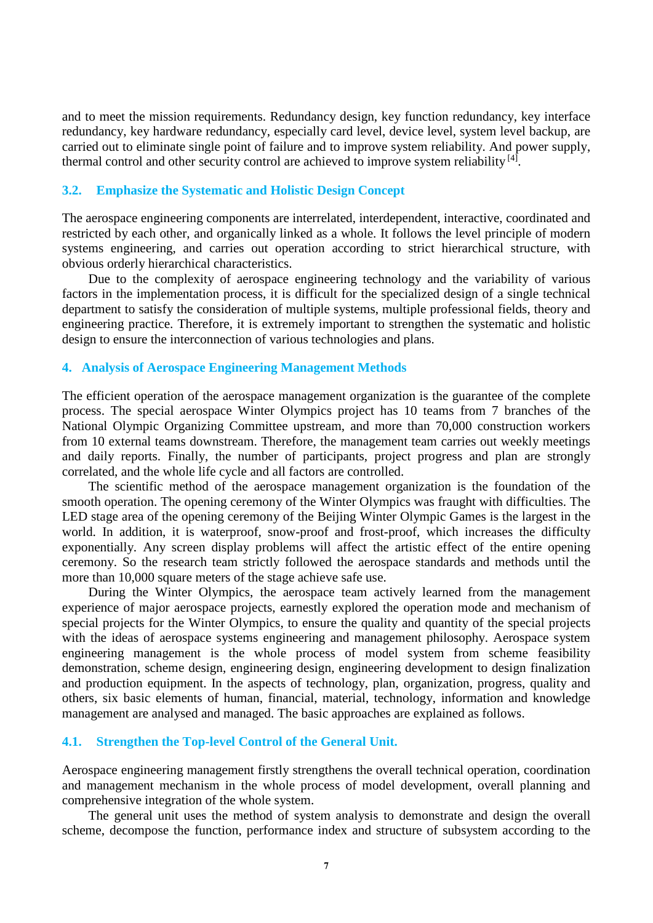and to meet the mission requirements. Redundancy design, key function redundancy, key interface redundancy, key hardware redundancy, especially card level, device level, system level backup, are carried out to eliminate single point of failure and to improve system reliability. And power supply, thermal control and other security control are achieved to improve system reliability  $[4]$ .

#### **3.2. Emphasize the Systematic and Holistic Design Concept**

The aerospace engineering components are interrelated, interdependent, interactive, coordinated and restricted by each other, and organically linked as a whole. It follows the level principle of modern systems engineering, and carries out operation according to strict hierarchical structure, with obvious orderly hierarchical characteristics.

Due to the complexity of aerospace engineering technology and the variability of various factors in the implementation process, it is difficult for the specialized design of a single technical department to satisfy the consideration of multiple systems, multiple professional fields, theory and engineering practice. Therefore, it is extremely important to strengthen the systematic and holistic design to ensure the interconnection of various technologies and plans.

## **4. Analysis of Aerospace Engineering Management Methods**

The efficient operation of the aerospace management organization is the guarantee of the complete process. The special aerospace Winter Olympics project has 10 teams from 7 branches of the National Olympic Organizing Committee upstream, and more than 70,000 construction workers from 10 external teams downstream. Therefore, the management team carries out weekly meetings and daily reports. Finally, the number of participants, project progress and plan are strongly correlated, and the whole life cycle and all factors are controlled.

The scientific method of the aerospace management organization is the foundation of the smooth operation. The opening ceremony of the Winter Olympics was fraught with difficulties. The LED stage area of the opening ceremony of the Beijing Winter Olympic Games is the largest in the world. In addition, it is waterproof, snow-proof and frost-proof, which increases the difficulty exponentially. Any screen display problems will affect the artistic effect of the entire opening ceremony. So the research team strictly followed the aerospace standards and methods until the more than 10,000 square meters of the stage achieve safe use.

During the Winter Olympics, the aerospace team actively learned from the management experience of major aerospace projects, earnestly explored the operation mode and mechanism of special projects for the Winter Olympics, to ensure the quality and quantity of the special projects with the ideas of aerospace systems engineering and management philosophy. Aerospace system engineering management is the whole process of model system from scheme feasibility demonstration, scheme design, engineering design, engineering development to design finalization and production equipment. In the aspects of technology, plan, organization, progress, quality and others, six basic elements of human, financial, material, technology, information and knowledge management are analysed and managed. The basic approaches are explained as follows.

#### **4.1. Strengthen the Top-level Control of the General Unit.**

Aerospace engineering management firstly strengthens the overall technical operation, coordination and management mechanism in the whole process of model development, overall planning and comprehensive integration of the whole system.

The general unit uses the method of system analysis to demonstrate and design the overall scheme, decompose the function, performance index and structure of subsystem according to the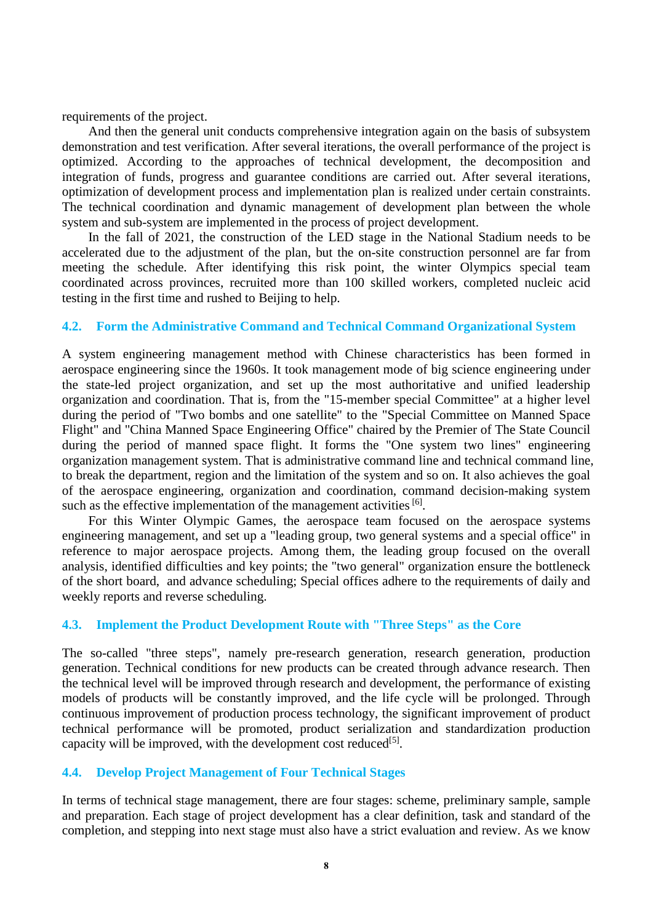requirements of the project.

And then the general unit conducts comprehensive integration again on the basis of subsystem demonstration and test verification. After several iterations, the overall performance of the project is optimized. According to the approaches of technical development, the decomposition and integration of funds, progress and guarantee conditions are carried out. After several iterations, optimization of development process and implementation plan is realized under certain constraints. The technical coordination and dynamic management of development plan between the whole system and sub-system are implemented in the process of project development.

In the fall of 2021, the construction of the LED stage in the National Stadium needs to be accelerated due to the adjustment of the plan, but the on-site construction personnel are far from meeting the schedule. After identifying this risk point, the winter Olympics special team coordinated across provinces, recruited more than 100 skilled workers, completed nucleic acid testing in the first time and rushed to Beijing to help.

## **4.2. Form the Administrative Command and Technical Command Organizational System**

A system engineering management method with Chinese characteristics has been formed in aerospace engineering since the 1960s. It took management mode of big science engineering under the state-led project organization, and set up the most authoritative and unified leadership organization and coordination. That is, from the "15-member special Committee" at a higher level during the period of "Two bombs and one satellite" to the "Special Committee on Manned Space Flight" and "China Manned Space Engineering Office" chaired by the Premier of The State Council during the period of manned space flight. It forms the "One system two lines" engineering organization management system. That is administrative command line and technical command line, to break the department, region and the limitation of the system and so on. It also achieves the goal of the aerospace engineering, organization and coordination, command decision-making system such as the effective implementation of the management activities  $[6]$ .

For this Winter Olympic Games, the aerospace team focused on the aerospace systems engineering management, and set up a "leading group, two general systems and a special office" in reference to major aerospace projects. Among them, the leading group focused on the overall analysis, identified difficulties and key points; the "two general" organization ensure the bottleneck of the short board, and advance scheduling; Special offices adhere to the requirements of daily and weekly reports and reverse scheduling.

# **4.3. Implement the Product Development Route with "Three Steps" as the Core**

The so-called "three steps", namely pre-research generation, research generation, production generation. Technical conditions for new products can be created through advance research. Then the technical level will be improved through research and development, the performance of existing models of products will be constantly improved, and the life cycle will be prolonged. Through continuous improvement of production process technology, the significant improvement of product technical performance will be promoted, product serialization and standardization production capacity will be improved, with the development cost reduced  $[5]$ .

## **4.4. Develop Project Management of Four Technical Stages**

In terms of technical stage management, there are four stages: scheme, preliminary sample, sample and preparation. Each stage of project development has a clear definition, task and standard of the completion, and stepping into next stage must also have a strict evaluation and review. As we know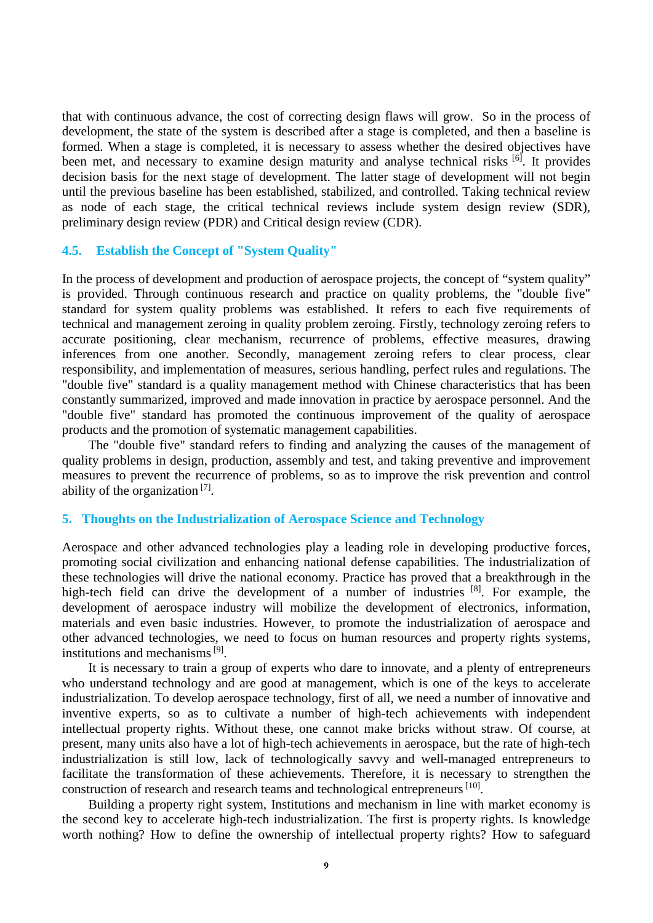that with continuous advance, the cost of correcting design flaws will grow. So in the process of development, the state of the system is described after a stage is completed, and then a baseline is formed. When a stage is completed, it is necessary to assess whether the desired objectives have been met, and necessary to examine design maturity and analyse technical risks <sup>[6]</sup>. It provides decision basis for the next stage of development. The latter stage of development will not begin until the previous baseline has been established, stabilized, and controlled. Taking technical review as node of each stage, the critical technical reviews include system design review (SDR), preliminary design review (PDR) and Critical design review (CDR).

## **4.5. Establish the Concept of "System Quality"**

In the process of development and production of aerospace projects, the concept of "system quality" is provided. Through continuous research and practice on quality problems, the "double five" standard for system quality problems was established. It refers to each five requirements of technical and management zeroing in quality problem zeroing. Firstly, technology zeroing refers to accurate positioning, clear mechanism, recurrence of problems, effective measures, drawing inferences from one another. Secondly, management zeroing refers to clear process, clear responsibility, and implementation of measures, serious handling, perfect rules and regulations. The "double five" standard is a quality management method with Chinese characteristics that has been constantly summarized, improved and made innovation in practice by aerospace personnel. And the "double five" standard has promoted the continuous improvement of the quality of aerospace products and the promotion of systematic management capabilities.

The "double five" standard refers to finding and analyzing the causes of the management of quality problems in design, production, assembly and test, and taking preventive and improvement measures to prevent the recurrence of problems, so as to improve the risk prevention and control ability of the organization  $[7]$ .

#### **5. Thoughts on the Industrialization of Aerospace Science and Technology**

Aerospace and other advanced technologies play a leading role in developing productive forces, promoting social civilization and enhancing national defense capabilities. The industrialization of these technologies will drive the national economy. Practice has proved that a breakthrough in the high-tech field can drive the development of a number of industries [8]. For example, the development of aerospace industry will mobilize the development of electronics, information, materials and even basic industries. However, to promote the industrialization of aerospace and other advanced technologies, we need to focus on human resources and property rights systems, institutions and mechanisms [9].

It is necessary to train a group of experts who dare to innovate, and a plenty of entrepreneurs who understand technology and are good at management, which is one of the keys to accelerate industrialization. To develop aerospace technology, first of all, we need a number of innovative and inventive experts, so as to cultivate a number of high-tech achievements with independent intellectual property rights. Without these, one cannot make bricks without straw. Of course, at present, many units also have a lot of high-tech achievements in aerospace, but the rate of high-tech industrialization is still low, lack of technologically savvy and well-managed entrepreneurs to facilitate the transformation of these achievements. Therefore, it is necessary to strengthen the construction of research and research teams and technological entrepreneurs [10].

Building a property right system, Institutions and mechanism in line with market economy is the second key to accelerate high-tech industrialization. The first is property rights. Is knowledge worth nothing? How to define the ownership of intellectual property rights? How to safeguard